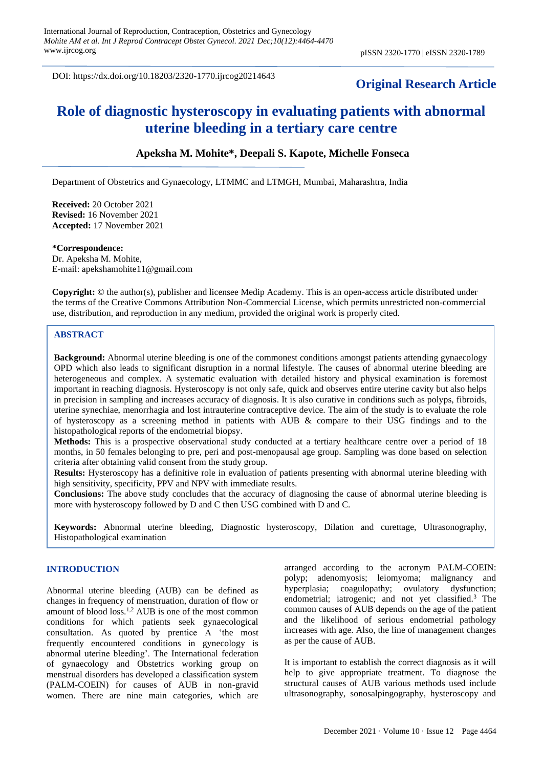DOI: https://dx.doi.org/10.18203/2320-1770.ijrcog20214643

## **Original Research Article**

# **Role of diagnostic hysteroscopy in evaluating patients with abnormal uterine bleeding in a tertiary care centre**

## **Apeksha M. Mohite\*, Deepali S. Kapote, Michelle Fonseca**

Department of Obstetrics and Gynaecology, LTMMC and LTMGH, Mumbai, Maharashtra, India

**Received:** 20 October 2021 **Revised:** 16 November 2021 **Accepted:** 17 November 2021

**\*Correspondence:** Dr. Apeksha M. Mohite, E-mail: [apekshamohite11@gmail.com](mailto:apekshamohite11@gmail.com)

**Copyright:** © the author(s), publisher and licensee Medip Academy. This is an open-access article distributed under the terms of the Creative Commons Attribution Non-Commercial License, which permits unrestricted non-commercial use, distribution, and reproduction in any medium, provided the original work is properly cited.

## **ABSTRACT**

**Background:** Abnormal uterine bleeding is one of the commonest conditions amongst patients attending gynaecology OPD which also leads to significant disruption in a normal lifestyle. The causes of abnormal uterine bleeding are heterogeneous and complex. A systematic evaluation with detailed history and physical examination is foremost important in reaching diagnosis. Hysteroscopy is not only safe, quick and observes entire uterine cavity but also helps in precision in sampling and increases accuracy of diagnosis. It is also curative in conditions such as polyps, fibroids, uterine synechiae, menorrhagia and lost intrauterine contraceptive device. The aim of the study is to evaluate the role of hysteroscopy as a screening method in patients with AUB & compare to their USG findings and to the histopathological reports of the endometrial biopsy.

**Methods:** This is a prospective observational study conducted at a tertiary healthcare centre over a period of 18 months, in 50 females belonging to pre, peri and post-menopausal age group. Sampling was done based on selection criteria after obtaining valid consent from the study group.

**Results:** Hysteroscopy has a definitive role in evaluation of patients presenting with abnormal uterine bleeding with high sensitivity, specificity, PPV and NPV with immediate results.

**Conclusions:** The above study concludes that the accuracy of diagnosing the cause of abnormal uterine bleeding is more with hysteroscopy followed by D and C then USG combined with D and C.

**Keywords:** Abnormal uterine bleeding, Diagnostic hysteroscopy, Dilation and curettage, Ultrasonography, Histopathological examination

#### **INTRODUCTION**

Abnormal uterine bleeding (AUB) can be defined as changes in frequency of menstruation, duration of flow or amount of blood loss.1,2 AUB is one of the most common conditions for which patients seek gynaecological consultation. As quoted by prentice A 'the most frequently encountered conditions in gynecology is abnormal uterine bleeding'. The International federation of gynaecology and Obstetrics working group on menstrual disorders has developed a classification system (PALM-COEIN) for causes of AUB in non-gravid women. There are nine main categories, which are arranged according to the acronym PALM-COEIN: polyp; adenomyosis; leiomyoma; malignancy and hyperplasia; coagulopathy; ovulatory dysfunction; endometrial; iatrogenic; and not yet classified.<sup>3</sup> The common causes of AUB depends on the age of the patient and the likelihood of serious endometrial pathology increases with age. Also, the line of management changes as per the cause of AUB.

It is important to establish the correct diagnosis as it will help to give appropriate treatment. To diagnose the structural causes of AUB various methods used include ultrasonography, sonosalpingography, hysteroscopy and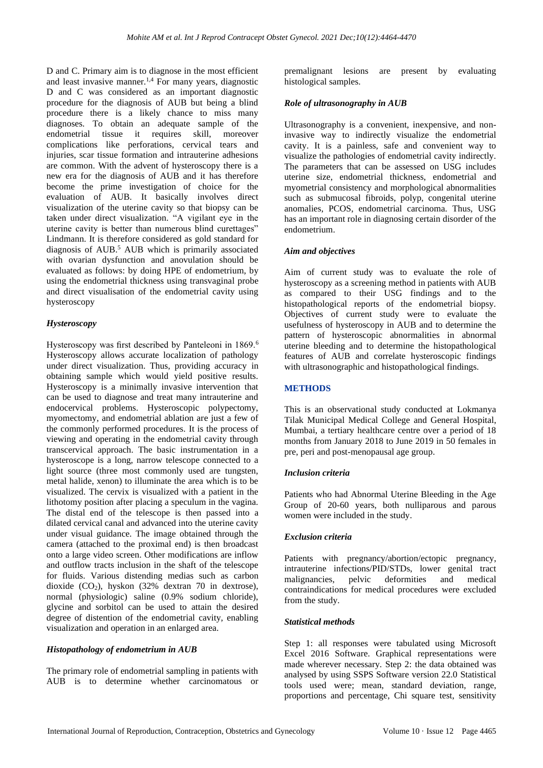D and C. Primary aim is to diagnose in the most efficient and least invasive manner.<sup>1,4</sup> For many years, diagnostic D and C was considered as an important diagnostic procedure for the diagnosis of AUB but being a blind procedure there is a likely chance to miss many diagnoses. To obtain an adequate sample of the endometrial tissue it requires skill, moreover complications like perforations, cervical tears and injuries, scar tissue formation and intrauterine adhesions are common. With the advent of hysteroscopy there is a new era for the diagnosis of AUB and it has therefore become the prime investigation of choice for the evaluation of AUB. It basically involves direct visualization of the uterine cavity so that biopsy can be taken under direct visualization. "A vigilant eye in the uterine cavity is better than numerous blind curettages" Lindmann. It is therefore considered as gold standard for diagnosis of AUB.<sup>5</sup> AUB which is primarily associated with ovarian dysfunction and anovulation should be evaluated as follows: by doing HPE of endometrium, by using the endometrial thickness using transvaginal probe and direct visualisation of the endometrial cavity using hysteroscopy

## *Hysteroscopy*

Hysteroscopy was first described by Panteleoni in 1869.<sup>6</sup> Hysteroscopy allows accurate localization of pathology under direct visualization. Thus, providing accuracy in obtaining sample which would yield positive results. Hysteroscopy is a minimally invasive intervention that can be used to diagnose and treat many intrauterine and endocervical problems. Hysteroscopic polypectomy, myomectomy, and endometrial ablation are just a few of the commonly performed procedures. It is the process of viewing and operating in the endometrial cavity through transcervical approach. The basic instrumentation in a hysteroscope is a long, narrow telescope connected to a light source (three most commonly used are tungsten, metal halide, xenon) to illuminate the area which is to be visualized. The cervix is visualized with a patient in the lithotomy position after placing a speculum in the vagina. The distal end of the telescope is then passed into a dilated cervical canal and advanced into the uterine cavity under visual guidance. The image obtained through the camera (attached to the proximal end) is then broadcast onto a large video screen. Other modifications are inflow and outflow tracts inclusion in the shaft of the telescope for fluids. Various distending medias such as carbon dioxide  $(CO_2)$ , hyskon  $(32\%$  dextran 70 in dextrose), normal (physiologic) saline (0.9% sodium chloride), glycine and sorbitol can be used to attain the desired degree of distention of the endometrial cavity, enabling visualization and operation in an enlarged area.

## *Histopathology of endometrium in AUB*

The primary role of endometrial sampling in patients with AUB is to determine whether carcinomatous or premalignant lesions are present by evaluating histological samples.

## *Role of ultrasonography in AUB*

Ultrasonography is a convenient, inexpensive, and noninvasive way to indirectly visualize the endometrial cavity. It is a painless, safe and convenient way to visualize the pathologies of endometrial cavity indirectly. The parameters that can be assessed on USG includes uterine size, endometrial thickness, endometrial and myometrial consistency and morphological abnormalities such as submucosal fibroids, polyp, congenital uterine anomalies, PCOS, endometrial carcinoma. Thus, USG has an important role in diagnosing certain disorder of the endometrium.

## *Aim and objectives*

Aim of current study was to evaluate the role of hysteroscopy as a screening method in patients with AUB as compared to their USG findings and to the histopathological reports of the endometrial biopsy. Objectives of current study were to evaluate the usefulness of hysteroscopy in AUB and to determine the pattern of hysteroscopic abnormalities in abnormal uterine bleeding and to determine the histopathological features of AUB and correlate hysteroscopic findings with ultrasonographic and histopathological findings.

## **METHODS**

This is an observational study conducted at Lokmanya Tilak Municipal Medical College and General Hospital, Mumbai, a tertiary healthcare centre over a period of 18 months from January 2018 to June 2019 in 50 females in pre, peri and post-menopausal age group.

## *Inclusion criteria*

Patients who had Abnormal Uterine Bleeding in the Age Group of 20-60 years, both nulliparous and parous women were included in the study.

## *Exclusion criteria*

Patients with pregnancy/abortion/ectopic pregnancy, intrauterine infections/PID/STDs, lower genital tract malignancies, pelvic deformities and medical contraindications for medical procedures were excluded from the study.

## *Statistical methods*

Step 1: all responses were tabulated using Microsoft Excel 2016 Software. Graphical representations were made wherever necessary. Step 2: the data obtained was analysed by using SSPS Software version 22.0 Statistical tools used were; mean, standard deviation, range, proportions and percentage, Chi square test, sensitivity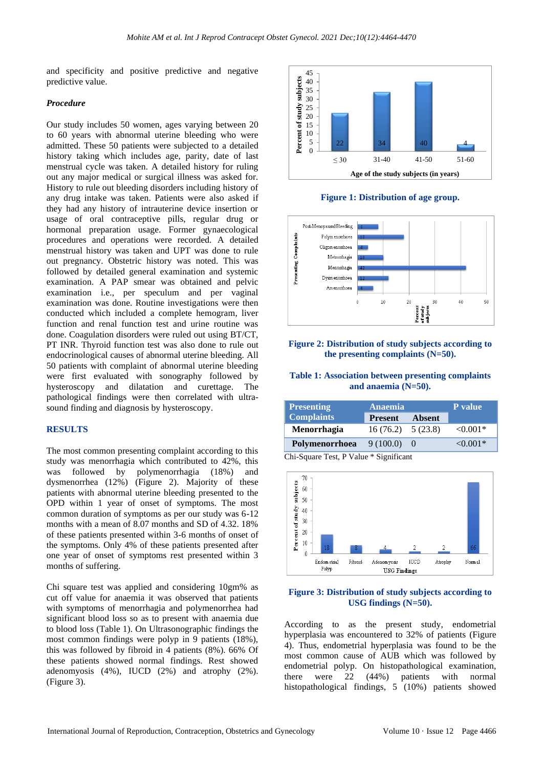and specificity and positive predictive and negative predictive value.

#### *Procedure*

Our study includes 50 women, ages varying between 20 to 60 years with abnormal uterine bleeding who were admitted. These 50 patients were subjected to a detailed history taking which includes age, parity, date of last menstrual cycle was taken. A detailed history for ruling out any major medical or surgical illness was asked for. History to rule out bleeding disorders including history of any drug intake was taken. Patients were also asked if they had any history of intrauterine device insertion or usage of oral contraceptive pills, regular drug or hormonal preparation usage. Former gynaecological procedures and operations were recorded. A detailed menstrual history was taken and UPT was done to rule out pregnancy. Obstetric history was noted. This was followed by detailed general examination and systemic examination. A PAP smear was obtained and pelvic examination i.e., per speculum and per vaginal examination was done. Routine investigations were then conducted which included a complete hemogram, liver function and renal function test and urine routine was done. Coagulation disorders were ruled out using BT/CT, PT INR. Thyroid function test was also done to rule out endocrinological causes of abnormal uterine bleeding. All 50 patients with complaint of abnormal uterine bleeding were first evaluated with sonography followed by hysteroscopy and dilatation and curettage. The pathological findings were then correlated with ultrasound finding and diagnosis by hysteroscopy.

#### **RESULTS**

The most common presenting complaint according to this study was menorrhagia which contributed to 42%, this was followed by polymenorrhagia (18%) and dysmenorrhea (12%) (Figure 2). Majority of these patients with abnormal uterine bleeding presented to the OPD within 1 year of onset of symptoms. The most common duration of symptoms as per our study was 6-12 months with a mean of 8.07 months and SD of 4.32. 18% of these patients presented within 3-6 months of onset of the symptoms. Only 4% of these patients presented after one year of onset of symptoms rest presented within 3 months of suffering.

Chi square test was applied and considering 10gm% as cut off value for anaemia it was observed that patients with symptoms of menorrhagia and polymenorrhea had significant blood loss so as to present with anaemia due to blood loss (Table 1). On Ultrasonographic findings the most common findings were polyp in 9 patients (18%), this was followed by fibroid in 4 patients (8%). 66% Of these patients showed normal findings. Rest showed adenomyosis (4%), IUCD (2%) and atrophy (2%). (Figure 3).



**Figure 1: Distribution of age group.**



#### **Figure 2: Distribution of study subjects according to the presenting complaints (N=50).**

#### **Table 1: Association between presenting complaints and anaemia (N=50).**

| <b>Presenting</b>  | Anaemia                  | <b>P</b> value |               |
|--------------------|--------------------------|----------------|---------------|
| <b>Complaints</b>  | <b>Present</b>           | Absent         |               |
| <b>Menorrhagia</b> | $16(76.2) \quad 5(23.8)$ |                | $\leq 0.001*$ |
| Polymenorrhoea     | 9(100.0)                 |                | $< 0.001*$    |

Chi-Square Test, P Value \* Significant



#### **Figure 3: Distribution of study subjects according to USG findings (N=50).**

According to as the present study, endometrial hyperplasia was encountered to 32% of patients (Figure 4). Thus, endometrial hyperplasia was found to be the most common cause of AUB which was followed by endometrial polyp. On histopathological examination, there were 22 (44%) patients with normal histopathological findings, 5 (10%) patients showed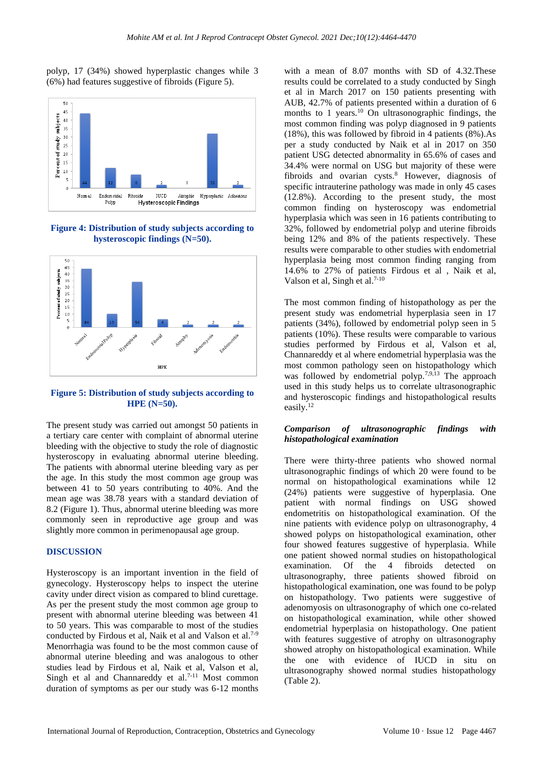polyp, 17 (34%) showed hyperplastic changes while 3 (6%) had features suggestive of fibroids (Figure 5).



**Figure 4: Distribution of study subjects according to hysteroscopic findings (N=50).**



**Figure 5: Distribution of study subjects according to HPE (N=50).**

The present study was carried out amongst 50 patients in a tertiary care center with complaint of abnormal uterine bleeding with the objective to study the role of diagnostic hysteroscopy in evaluating abnormal uterine bleeding. The patients with abnormal uterine bleeding vary as per the age. In this study the most common age group was between 41 to 50 years contributing to 40%. And the mean age was 38.78 years with a standard deviation of 8.2 (Figure 1). Thus, abnormal uterine bleeding was more commonly seen in reproductive age group and was slightly more common in perimenopausal age group.

#### **DISCUSSION**

Hysteroscopy is an important invention in the field of gynecology. Hysteroscopy helps to inspect the uterine cavity under direct vision as compared to blind curettage. As per the present study the most common age group to present with abnormal uterine bleeding was between 41 to 50 years. This was comparable to most of the studies conducted by Firdous et al, Naik et al and Valson et al.<sup>7-9</sup> Menorrhagia was found to be the most common cause of abnormal uterine bleeding and was analogous to other studies lead by Firdous et al, Naik et al, Valson et al, Singh et al and Channareddy et al.<sup>7-11</sup> Most common duration of symptoms as per our study was 6-12 months with a mean of 8.07 months with SD of 4.32.These results could be correlated to a study conducted by Singh et al in March 2017 on 150 patients presenting with AUB, 42.7% of patients presented within a duration of 6 months to 1 years.<sup>10</sup> On ultrasonographic findings, the most common finding was polyp diagnosed in 9 patients (18%), this was followed by fibroid in 4 patients (8%).As per a study conducted by Naik et al in 2017 on 350 patient USG detected abnormality in 65.6% of cases and 34.4% were normal on USG but majority of these were fibroids and ovarian cysts. $8$  However, diagnosis of specific intrauterine pathology was made in only 45 cases (12.8%). According to the present study, the most common finding on hysteroscopy was endometrial hyperplasia which was seen in 16 patients contributing to 32%, followed by endometrial polyp and uterine fibroids being 12% and 8% of the patients respectively. These results were comparable to other studies with endometrial hyperplasia being most common finding ranging from 14.6% to 27% of patients Firdous et al , Naik et al, Valson et al, Singh et al.7-10

The most common finding of histopathology as per the present study was endometrial hyperplasia seen in 17 patients (34%), followed by endometrial polyp seen in 5 patients (10%). These results were comparable to various studies performed by Firdous et al, Valson et al, Channareddy et al where endometrial hyperplasia was the most common pathology seen on histopathology which was followed by endometrial polyp.<sup>7,9,13</sup> The approach used in this study helps us to correlate ultrasonographic and hysteroscopic findings and histopathological results easily.<sup>12</sup>

#### *Comparison of ultrasonographic findings with histopathological examination*

There were thirty-three patients who showed normal ultrasonographic findings of which 20 were found to be normal on histopathological examinations while 12 (24%) patients were suggestive of hyperplasia. One patient with normal findings on USG showed endometritis on histopathological examination. Of the nine patients with evidence polyp on ultrasonography, 4 showed polyps on histopathological examination, other four showed features suggestive of hyperplasia. While one patient showed normal studies on histopathological examination. Of the 4 fibroids detected on ultrasonography, three patients showed fibroid on histopathological examination, one was found to be polyp on histopathology. Two patients were suggestive of adenomyosis on ultrasonography of which one co-related on histopathological examination, while other showed endometrial hyperplasia on histopathology. One patient with features suggestive of atrophy on ultrasonography showed atrophy on histopathological examination. While the one with evidence of IUCD in situ on ultrasonography showed normal studies histopathology (Table 2).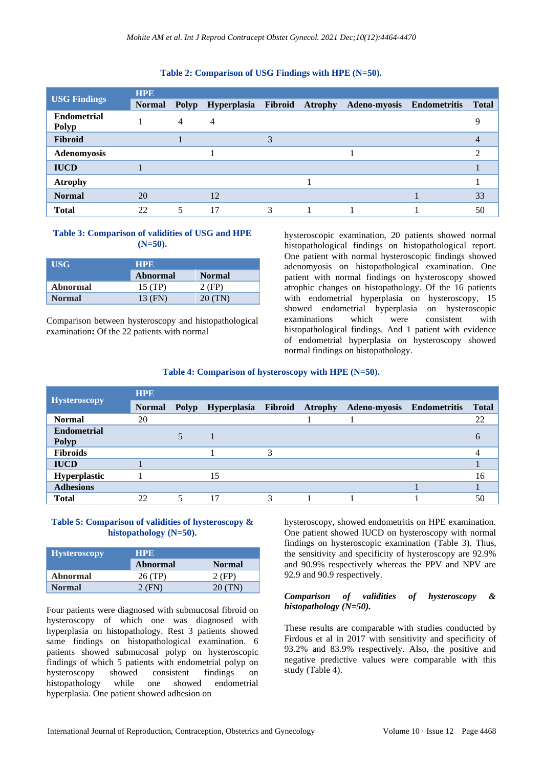## **Table 2: Comparison of USG Findings with HPE (N=50).**

|                             | <b>HPE</b>    |       |    |   |  |                                                       |  |       |
|-----------------------------|---------------|-------|----|---|--|-------------------------------------------------------|--|-------|
| <b>USG Findings</b>         | <b>Normal</b> | Polyp |    |   |  | Hyperplasia Fibroid Atrophy Adeno-myosis Endometritis |  | Total |
| <b>Endometrial</b><br>Polyp |               | 4     | 4  |   |  |                                                       |  | Q     |
| <b>Fibroid</b>              |               |       |    | 3 |  |                                                       |  |       |
| Adenomyosis                 |               |       |    |   |  |                                                       |  | ◠     |
| <b>IUCD</b>                 |               |       |    |   |  |                                                       |  |       |
| <b>Atrophy</b>              |               |       |    |   |  |                                                       |  |       |
| <b>Normal</b>               | 20            |       | 12 |   |  |                                                       |  | 33    |
| <b>Total</b>                | 22            | 5     | 17 | 3 |  |                                                       |  | 50    |

## **Table 3: Comparison of validities of USG and HPE (N=50).**

| <b>USG</b> | <b>HPE</b>      |               |  |
|------------|-----------------|---------------|--|
|            | <b>Abnormal</b> | <b>Normal</b> |  |
| Abnormal   | 15 (TP)         | 2 (FP)        |  |
| Normal     | 13 (FN)         | 20 (TN)       |  |

Comparison between hysteroscopy and histopathological examination**:** Of the 22 patients with normal

hysteroscopic examination, 20 patients showed normal histopathological findings on histopathological report. One patient with normal hysteroscopic findings showed adenomyosis on histopathological examination. One patient with normal findings on hysteroscopy showed atrophic changes on histopathology. Of the 16 patients with endometrial hyperplasia on hysteroscopy, 15 showed endometrial hyperplasia on hysteroscopic examinations which were consistent with histopathological findings. And 1 patient with evidence of endometrial hyperplasia on hysteroscopy showed normal findings on histopathology.

## **Table 4: Comparison of hysteroscopy with HPE (N=50).**

|                             | <b>HPE</b> |  |                                          |   |  |                           |  |              |
|-----------------------------|------------|--|------------------------------------------|---|--|---------------------------|--|--------------|
| <b>Hysteroscopy</b>         |            |  | Normal Polyp Hyperplasia Fibroid Atrophy |   |  | Adeno-myosis Endometritis |  | <b>Total</b> |
| <b>Normal</b>               | 20         |  |                                          |   |  |                           |  | 22           |
| <b>Endometrial</b><br>Polyp |            |  |                                          |   |  |                           |  |              |
| <b>Fibroids</b>             |            |  |                                          | 3 |  |                           |  |              |
| <b>IUCD</b>                 |            |  |                                          |   |  |                           |  |              |
| Hyperplastic                |            |  | 15                                       |   |  |                           |  | 16           |
| <b>Adhesions</b>            |            |  |                                          |   |  |                           |  |              |
| <b>Total</b>                | 22         |  |                                          | 2 |  |                           |  | 50           |

## **Table 5: Comparison of validities of hysteroscopy & histopathology (N=50).**

| <b>Hysteroscopy</b> | HPE.     |               |  |
|---------------------|----------|---------------|--|
|                     | Abnormal | <b>Normal</b> |  |
| Abnormal            | 26 (TP)  | 2 (FP)        |  |
| <b>Normal</b>       | 2 (FN)   | 20(TN)        |  |

Four patients were diagnosed with submucosal fibroid on hysteroscopy of which one was diagnosed with hyperplasia on histopathology. Rest 3 patients showed same findings on histopathological examination. 6 patients showed submucosal polyp on hysteroscopic findings of which 5 patients with endometrial polyp on hysteroscopy showed consistent findings on histopathology while one showed endometrial hyperplasia. One patient showed adhesion on

hysteroscopy, showed endometritis on HPE examination. One patient showed IUCD on hysteroscopy with normal findings on hysteroscopic examination (Table 3). Thus, the sensitivity and specificity of hysteroscopy are 92.9% and 90.9% respectively whereas the PPV and NPV are 92.9 and 90.9 respectively.

## *Comparison of validities of hysteroscopy & histopathology (N=50).*

These results are comparable with studies conducted by Firdous et al in 2017 with sensitivity and specificity of 93.2% and 83.9% respectively. Also, the positive and negative predictive values were comparable with this study (Table 4).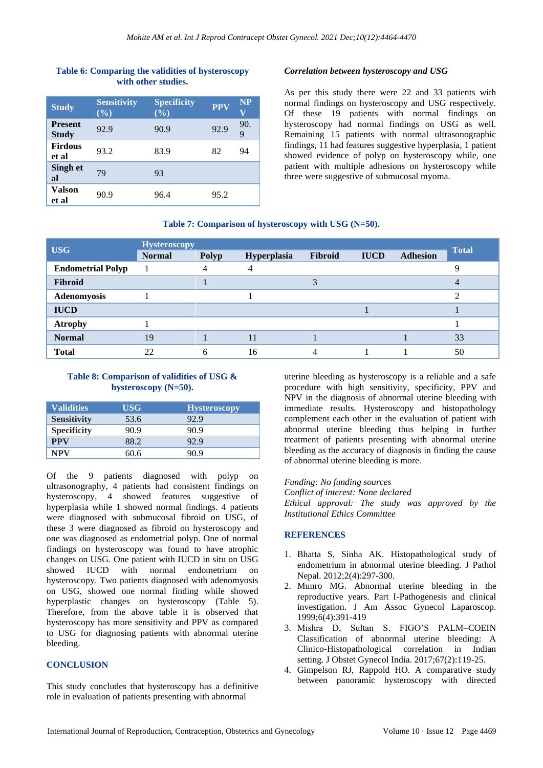## **Table 6: Comparing the validities of hysteroscopy with other studies.**

| <b>Study</b>                   | <b>Sensitivity</b><br>$(\%)$ | <b>Specificity</b><br>$(\%)$ | <b>PPV</b> | <b>NP</b><br>V |
|--------------------------------|------------------------------|------------------------------|------------|----------------|
| <b>Present</b><br><b>Study</b> | 92.9                         | 90.9                         | 92.9       | 90.<br>9       |
| <b>Firdous</b><br>et al        | 93.2                         | 83.9                         | 82         | 94             |
| Singh et<br>al                 | 79                           | 93                           |            |                |
| Valson<br>et al                | 90.9                         | 96.4                         | 95.2       |                |

## *Correlation between hysteroscopy and USG*

As per this study there were 22 and 33 patients with normal findings on hysteroscopy and USG respectively. Of these 19 patients with normal findings on hysteroscopy had normal findings on USG as well. Remaining 15 patients with normal ultrasonographic findings, 11 had features suggestive hyperplasia, 1 patient showed evidence of polyp on hysteroscopy while, one patient with multiple adhesions on hysteroscopy while three were suggestive of submucosal myoma.

### **Table 7: Comparison of hysteroscopy with USG (N=50).**

| <b>USG</b>               | <b>Hysteroscopy</b> |       |             |         |             |                 | <b>Total</b> |
|--------------------------|---------------------|-------|-------------|---------|-------------|-----------------|--------------|
|                          | <b>Normal</b>       | Polyp | Hyperplasia | Fibroid | <b>IUCD</b> | <b>Adhesion</b> |              |
| <b>Endometrial Polyp</b> |                     | 4     | 4           |         |             |                 |              |
| <b>Fibroid</b>           |                     |       |             |         |             |                 |              |
| Adenomyosis              |                     |       |             |         |             |                 |              |
| <b>IUCD</b>              |                     |       |             |         |             |                 |              |
| <b>Atrophy</b>           |                     |       |             |         |             |                 |              |
| <b>Normal</b>            | 19                  |       | 11          |         |             |                 | 33           |
| <b>Total</b>             | 22                  |       | 16          |         |             |                 | 50           |

## **Table 8: Comparison of validities of USG & hysteroscopy (N=50).**

| <b>Validities</b>  | <b>USG</b> | <b>Hysteroscopy</b> |
|--------------------|------------|---------------------|
| <b>Sensitivity</b> | 53.6       | 92.9                |
| <b>Specificity</b> | 90.9       | 90.9                |
| <b>PPV</b>         | 88.2       | 92.9                |
| NPV                | 60.6       | 90.9                |

Of the 9 patients diagnosed with polyp on ultrasonography, 4 patients had consistent findings on hysteroscopy, 4 showed features suggestive of hyperplasia while 1 showed normal findings. 4 patients were diagnosed with submucosal fibroid on USG, of these 3 were diagnosed as fibroid on hysteroscopy and one was diagnosed as endometrial polyp. One of normal findings on hysteroscopy was found to have atrophic changes on USG. One patient with IUCD in situ on USG showed IUCD with normal endometrium on hysteroscopy. Two patients diagnosed with adenomyosis on USG, showed one normal finding while showed hyperplastic changes on hysteroscopy (Table 5). Therefore, from the above table it is observed that hysteroscopy has more sensitivity and PPV as compared to USG for diagnosing patients with abnormal uterine bleeding.

## **CONCLUSION**

This study concludes that hysteroscopy has a definitive role in evaluation of patients presenting with abnormal

uterine bleeding as hysteroscopy is a reliable and a safe procedure with high sensitivity, specificity, PPV and NPV in the diagnosis of abnormal uterine bleeding with immediate results. Hysteroscopy and histopathology complement each other in the evaluation of patient with abnormal uterine bleeding thus helping in further treatment of patients presenting with abnormal uterine bleeding as the accuracy of diagnosis in finding the cause of abnormal uterine bleeding is more.

*Funding: No funding sources*

*Conflict of interest: None declared*

*Ethical approval: The study was approved by the Institutional Ethics Committee*

## **REFERENCES**

- 1. Bhatta S, Sinha AK. Histopathological study of endometrium in abnormal uterine bleeding. J Pathol Nepal. 2012;2(4):297-300.
- 2. Munro MG. Abnormal uterine bleeding in the reproductive years. Part I-Pathogenesis and clinical investigation. J Am Assoc Gynecol Laparoscop. 1999;6(4):391-419
- 3. Mishra D, Sultan S. FIGO'S PALM–COEIN Classification of abnormal uterine bleeding: A Clinico-Histopathological correlation in Indian setting. J Obstet Gynecol India. 2017;67(2):119-25.
- 4. Gimpelson RJ, Rappold HO. A comparative study between panoramic hysteroscopy with directed